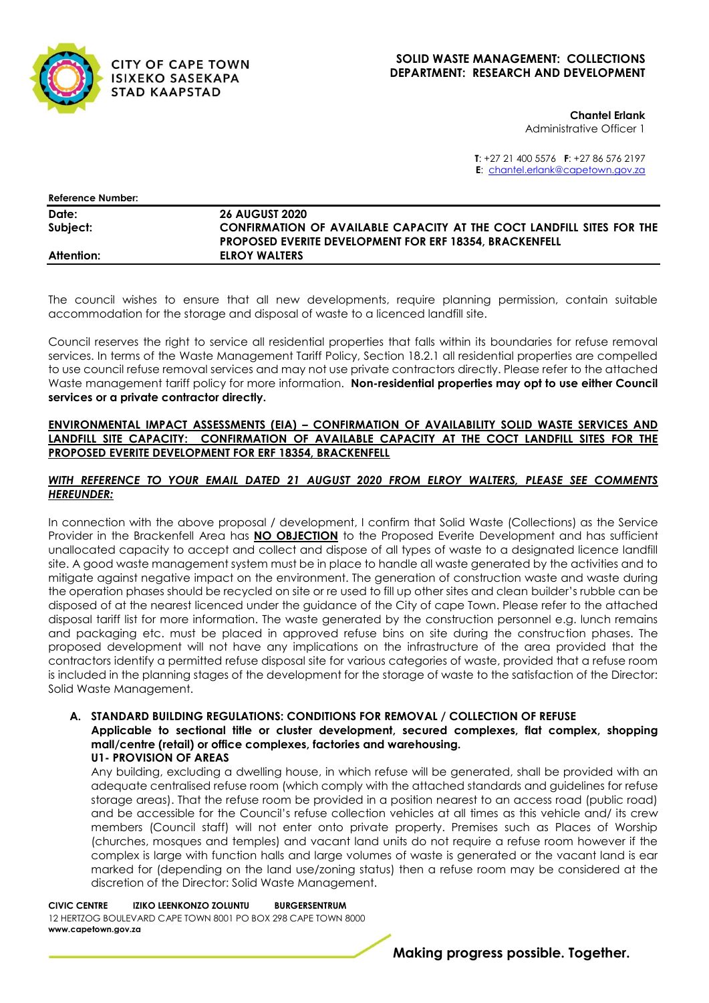

# **SOLID WASTE MANAGEMENT: COLLECTIONS DEPARTMENT: RESEARCH AND DEVELOPMENT**

**Chantel Erlank** Administrative Officer 1

**T**: +27 21 400 5576 **F**: +27 86 576 2197 **E**: [chantel.erlank@capetown.gov.za](mailto:chantel.erlank@capetown.gov.za)

| <b>Reference Number:</b> |                                                                       |
|--------------------------|-----------------------------------------------------------------------|
| Date:                    | <b>26 AUGUST 2020</b>                                                 |
| Subject:                 | CONFIRMATION OF AVAILABLE CAPACITY AT THE COCT LANDFILL SITES FOR THE |
|                          | <b>PROPOSED EVERITE DEVELOPMENT FOR ERF 18354. BRACKENFELL</b>        |
| Attention:               | <b>ELROY WALTERS</b>                                                  |

The council wishes to ensure that all new developments, require planning permission, contain suitable accommodation for the storage and disposal of waste to a licenced landfill site.

Council reserves the right to service all residential properties that falls within its boundaries for refuse removal services. In terms of the Waste Management Tariff Policy, Section 18.2.1 all residential properties are compelled to use council refuse removal services and may not use private contractors directly. Please refer to the attached Waste management tariff policy for more information. **Non-residential properties may opt to use either Council services or a private contractor directly.**

#### **ENVIRONMENTAL IMPACT ASSESSMENTS (EIA) – CONFIRMATION OF AVAILABILITY SOLID WASTE SERVICES AND LANDFILL SITE CAPACITY: CONFIRMATION OF AVAILABLE CAPACITY AT THE COCT LANDFILL SITES FOR THE PROPOSED EVERITE DEVELOPMENT FOR ERF 18354, BRACKENFELL**

# *WITH REFERENCE TO YOUR EMAIL DATED 21 AUGUST 2020 FROM ELROY WALTERS, PLEASE SEE COMMENTS HEREUNDER:*

In connection with the above proposal / development, I confirm that Solid Waste (Collections) as the Service Provider in the Brackenfell Area has **NO OBJECTION** to the Proposed Everite Development and has sufficient unallocated capacity to accept and collect and dispose of all types of waste to a designated licence landfill site. A good waste management system must be in place to handle all waste generated by the activities and to mitigate against negative impact on the environment. The generation of construction waste and waste during the operation phases should be recycled on site or re used to fill up other sites and clean builder's rubble can be disposed of at the nearest licenced under the guidance of the City of cape Town. Please refer to the attached disposal tariff list for more information. The waste generated by the construction personnel e.g. lunch remains and packaging etc. must be placed in approved refuse bins on site during the construction phases. The proposed development will not have any implications on the infrastructure of the area provided that the contractors identify a permitted refuse disposal site for various categories of waste, provided that a refuse room is included in the planning stages of the development for the storage of waste to the satisfaction of the Director: Solid Waste Management.

# **A. STANDARD BUILDING REGULATIONS: CONDITIONS FOR REMOVAL / COLLECTION OF REFUSE Applicable to sectional title or cluster development, secured complexes, flat complex, shopping mall/centre (retail) or office complexes, factories and warehousing. U1- PROVISION OF AREAS**

Any building, excluding a dwelling house, in which refuse will be generated, shall be provided with an adequate centralised refuse room (which comply with the attached standards and guidelines for refuse storage areas). That the refuse room be provided in a position nearest to an access road (public road) and be accessible for the Council's refuse collection vehicles at all times as this vehicle and/ its crew members (Council staff) will not enter onto private property. Premises such as Places of Worship (churches, mosques and temples) and vacant land units do not require a refuse room however if the complex is large with function halls and large volumes of waste is generated or the vacant land is ear marked for (depending on the land use/zoning status) then a refuse room may be considered at the discretion of the Director: Solid Waste Management.

**CIVIC CENTRE IZIKO LEENKONZO ZOLUNTU BURGERSENTRUM** 12 HERTZOG BOULEVARD CAPE TOWN 8001 PO BOX 298 CAPE TOWN 8000 **www.capetown.gov.za**